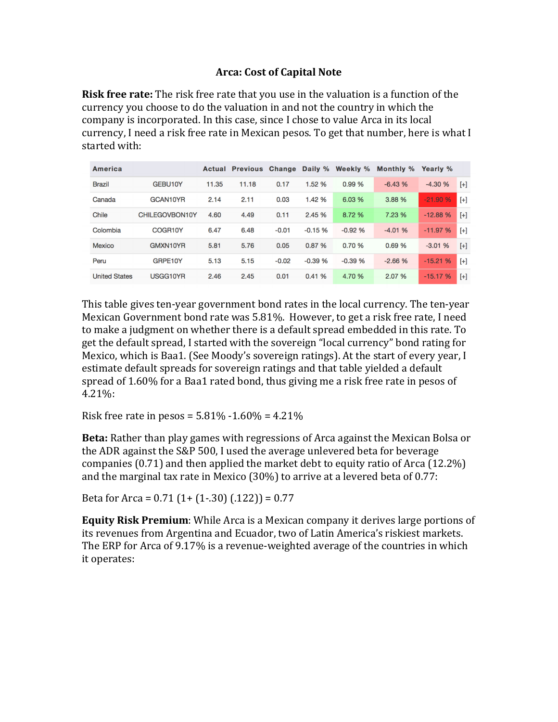## **Arca: Cost of Capital Note**

**Risk free rate:** The risk free rate that you use in the valuation is a function of the currency you choose to do the valuation in and not the country in which the company is incorporated. In this case, since I chose to value Arca in its local currency, I need a risk free rate in Mexican pesos. To get that number, here is what I started with:

| America              |                |       | Actual Previous Change Daily % |         |          | Weekly % | Monthly % | Yearly %  |       |
|----------------------|----------------|-------|--------------------------------|---------|----------|----------|-----------|-----------|-------|
| <b>Brazil</b>        | GEBU10Y        | 11.35 | 11.18                          | 0.17    | 1.52 %   | 0.99%    | $-6.43%$  | $-4.30%$  | $[+]$ |
| Canada               | GCAN10YR       | 2.14  | 2.11                           | 0.03    | 1.42 %   | 6.03 %   | 3.88 %    | $-21.90%$ | $[+]$ |
| <b>Chile</b>         | CHILEGOVBON10Y | 4.60  | 4.49                           | 0.11    | 2.45 %   | 8.72 %   | 7.23 %    | $-12.88%$ | $[+]$ |
| Colombia             | COGR10Y        | 6.47  | 6.48                           | $-0.01$ | $-0.15%$ | $-0.92%$ | $-4.01%$  | $-11.97%$ | $[+]$ |
| <b>Mexico</b>        | GMXN10YR       | 5.81  | 5.76                           | 0.05    | 0.87%    | 0.70%    | 0.69%     | $-3.01%$  | $[+]$ |
| Peru                 | GRPE10Y        | 5.13  | 5.15                           | $-0.02$ | $-0.39%$ | $-0.39%$ | $-2.66%$  | $-15.21%$ | $[+]$ |
| <b>United States</b> | USGG10YR       | 2.46  | 2.45                           | 0.01    | 0.41%    | 4.70 %   | 2.07 %    | $-15.17%$ | $[+]$ |

This table gives ten-year government bond rates in the local currency. The ten-year Mexican Government bond rate was 5.81%. However, to get a risk free rate, I need to make a judgment on whether there is a default spread embedded in this rate. To get the default spread, I started with the sovereign "local currency" bond rating for Mexico, which is Baa1. (See Moody's sovereign ratings). At the start of every year, I estimate default spreads for sovereign ratings and that table yielded a default spread of 1.60% for a Baa1 rated bond, thus giving me a risk free rate in pesos of 4.21%:

Risk free rate in pesos =  $5.81\% - 1.60\% = 4.21\%$ 

**Beta:** Rather than play games with regressions of Arca against the Mexican Bolsa or the ADR against the S&P 500, I used the average unlevered beta for beverage companies  $(0.71)$  and then applied the market debt to equity ratio of Arca  $(12.2\%)$ and the marginal tax rate in Mexico  $(30\%)$  to arrive at a levered beta of 0.77:

Beta for Arca =  $0.71$   $(1+(1-.30)$   $(.122)) = 0.77$ 

**Equity Risk Premium**: While Arca is a Mexican company it derives large portions of its revenues from Argentina and Ecuador, two of Latin America's riskiest markets. The ERP for Arca of 9.17% is a revenue-weighted average of the countries in which it operates: